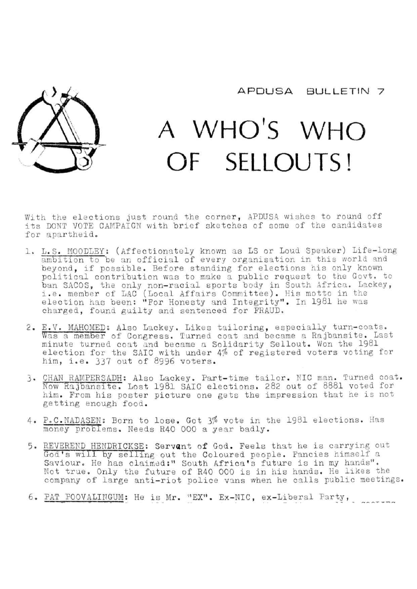

## A WHO'S WHO OF SELLOUTS!

With the elections just round the corner, APDUSA wishes to round off its DONT VOTE CAMPAIGN with brief sketches of some of the candidates for apartheid.

- 1. L.S. HOODLEY: (Affectionately known as LS or Loud Speaker) Life-long ambition to be an official of every organisation in this world and beyond, if possible. Before standing for elections his only known political contribution was to make a public request to the Govt, to ban 3AC0S, the only non-racial sports body in South Africa. Lackey, i.e. member of LAC (Local Affairs Committee). His motto in the election has been: "For Honesty and Integrity". In 1981 he was charged, found guilty and sentenced for FRAUD.
- 2. E.V. MAHOMED: Also Lackey. Likes tailoring, especially turn-coats. Was a member of Congress. Turned coat and became a Rajbansite. Last minute turned coat and became a Solidarity Sellout. Won the 1981 election for the SAIC with under 4% of registered him, i.e. 337 out of 8996 voters. voters voting for
- 3- CHAN RAMPERSADH; Also Lackey. Part-time tailor. NIC man. Turned coat. Now Rajbansite. Lost 1981 SAIC elections. 282 out of 8881 voted for him. From his poster picture one gets the impression that he is not getting enough food.
- 4. P.C. NADASEN: Born to lose. Got 3% vote in the 1981 elections. Has money problems. Needs R40 000 a year badly.
- 5. REVEREND HENDRICKSE: Servant of God. Feels that he is carrying out God's will by selling out the Coloured people. Fancies himself a Saviour. He has claimed;" South Africa's future is in my hands". Not true. Only the future of R40 000 is in his hands. He likes the company of large anti-riot police vans when he calls public meetings.
- 6. PAT POOVALINGUM: He is Mr. "EX". Ex-NIC, ex-Liberal Party,